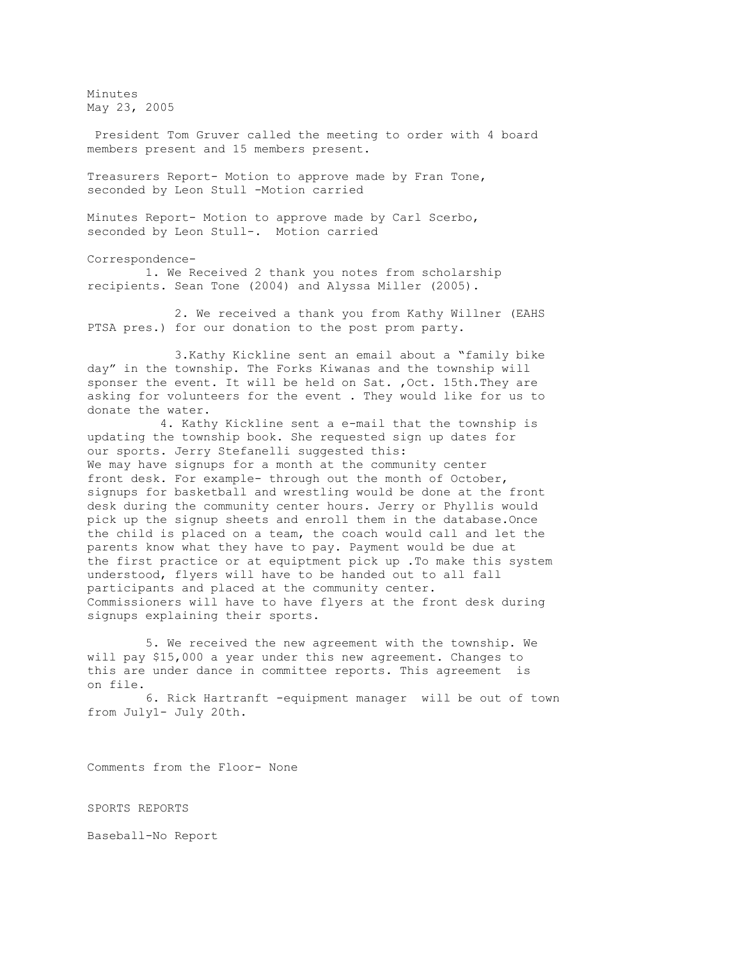Minutes May 23, 2005

President Tom Gruver called the meeting to order with 4 board members present and 15 members present.

Treasurers Report- Motion to approve made by Fran Tone, seconded by Leon Stull -Motion carried

Minutes Report- Motion to approve made by Carl Scerbo, seconded by Leon Stull-. Motion carried

Correspondence-

 1. We Received 2 thank you notes from scholarship recipients. Sean Tone (2004) and Alyssa Miller (2005).

 2. We received a thank you from Kathy Willner (EAHS PTSA pres.) for our donation to the post prom party.

 3.Kathy Kickline sent an email about a "family bike day" in the township. The Forks Kiwanas and the township will sponser the event. It will be held on Sat. ,Oct. 15th.They are asking for volunteers for the event . They would like for us to donate the water.

 4. Kathy Kickline sent a e-mail that the township is updating the township book. She requested sign up dates for our sports. Jerry Stefanelli suggested this: We may have signups for a month at the community center front desk. For example- through out the month of October, signups for basketball and wrestling would be done at the front desk during the community center hours. Jerry or Phyllis would pick up the signup sheets and enroll them in the database.Once the child is placed on a team, the coach would call and let the parents know what they have to pay. Payment would be due at the first practice or at equiptment pick up .To make this system understood, flyers will have to be handed out to all fall participants and placed at the community center. Commissioners will have to have flyers at the front desk during signups explaining their sports.

 5. We received the new agreement with the township. We will pay \$15,000 a year under this new agreement. Changes to this are under dance in committee reports. This agreement is on file.

 6. Rick Hartranft -equipment manager will be out of town from July1- July 20th.

Comments from the Floor- None

SPORTS REPORTS

Baseball-No Report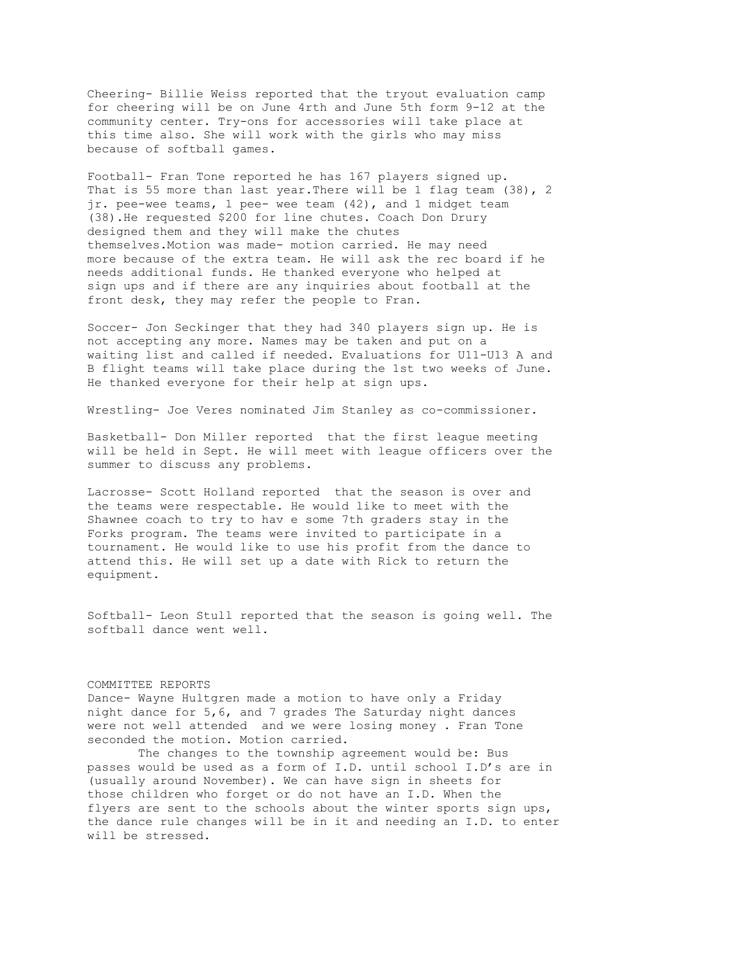Cheering- Billie Weiss reported that the tryout evaluation camp for cheering will be on June 4rth and June 5th form 9-12 at the community center. Try-ons for accessories will take place at this time also. She will work with the girls who may miss because of softball games.

Football- Fran Tone reported he has 167 players signed up. That is 55 more than last year.There will be 1 flag team (38), 2 jr. pee-wee teams, 1 pee- wee team (42), and 1 midget team (38).He requested \$200 for line chutes. Coach Don Drury designed them and they will make the chutes themselves.Motion was made- motion carried. He may need more because of the extra team. He will ask the rec board if he needs additional funds. He thanked everyone who helped at sign ups and if there are any inquiries about football at the front desk, they may refer the people to Fran.

Soccer- Jon Seckinger that they had 340 players sign up. He is not accepting any more. Names may be taken and put on a waiting list and called if needed. Evaluations for U11-U13 A and B flight teams will take place during the 1st two weeks of June. He thanked everyone for their help at sign ups.

Wrestling- Joe Veres nominated Jim Stanley as co-commissioner.

Basketball- Don Miller reported that the first league meeting will be held in Sept. He will meet with league officers over the summer to discuss any problems.

Lacrosse- Scott Holland reported that the season is over and the teams were respectable. He would like to meet with the Shawnee coach to try to hav e some 7th graders stay in the Forks program. The teams were invited to participate in a tournament. He would like to use his profit from the dance to attend this. He will set up a date with Rick to return the equipment.

Softball- Leon Stull reported that the season is going well. The softball dance went well.

## COMMITTEE REPORTS

Dance- Wayne Hultgren made a motion to have only a Friday night dance for 5,6, and 7 grades The Saturday night dances were not well attended and we were losing money . Fran Tone seconded the motion. Motion carried.

The changes to the township agreement would be: Bus passes would be used as a form of I.D. until school I.D's are in (usually around November). We can have sign in sheets for those children who forget or do not have an I.D. When the flyers are sent to the schools about the winter sports sign ups, the dance rule changes will be in it and needing an I.D. to enter will be stressed.